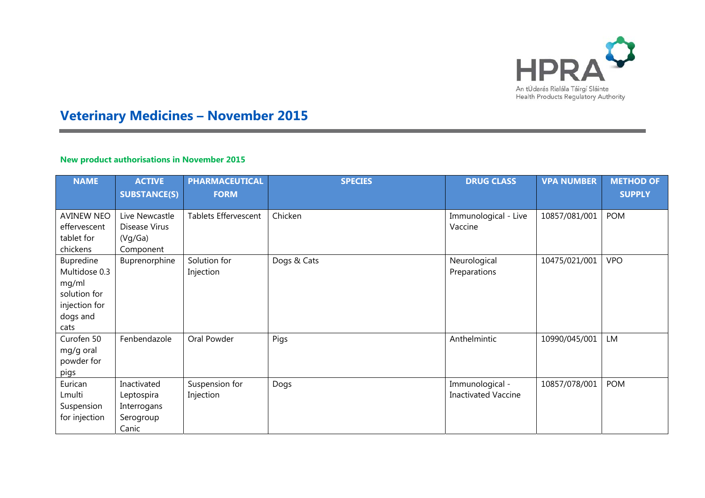

# **Veterinary Medicines – November 2015**

## **New product authorisations in November 2015**

| <b>NAME</b>                                                                              | <b>ACTIVE</b><br><b>SUBSTANCE(S)</b>                           | <b>PHARMACEUTICAL</b><br><b>FORM</b> | <b>SPECIES</b> | <b>DRUG CLASS</b>                             | <b>VPA NUMBER</b> | <b>METHOD OF</b><br><b>SUPPLY</b> |
|------------------------------------------------------------------------------------------|----------------------------------------------------------------|--------------------------------------|----------------|-----------------------------------------------|-------------------|-----------------------------------|
| <b>AVINEW NEO</b><br>effervescent<br>tablet for<br>chickens                              | Live Newcastle<br>Disease Virus<br>(Vq/Ga)<br>Component        | <b>Tablets Effervescent</b>          | Chicken        | Immunological - Live<br>Vaccine               | 10857/081/001     | <b>POM</b>                        |
| Bupredine<br>Multidose 0.3<br>mg/ml<br>solution for<br>injection for<br>dogs and<br>cats | Buprenorphine                                                  | Solution for<br>Injection            | Dogs & Cats    | Neurological<br>Preparations                  | 10475/021/001     | <b>VPO</b>                        |
| Curofen 50<br>mg/g oral<br>powder for<br>pigs                                            | Fenbendazole                                                   | Oral Powder                          | Pigs           | Anthelmintic                                  | 10990/045/001     | <b>LM</b>                         |
| Eurican<br>Lmulti<br>Suspension<br>for injection                                         | Inactivated<br>Leptospira<br>Interrogans<br>Serogroup<br>Canic | Suspension for<br>Injection          | Dogs           | Immunological -<br><b>Inactivated Vaccine</b> | 10857/078/001     | <b>POM</b>                        |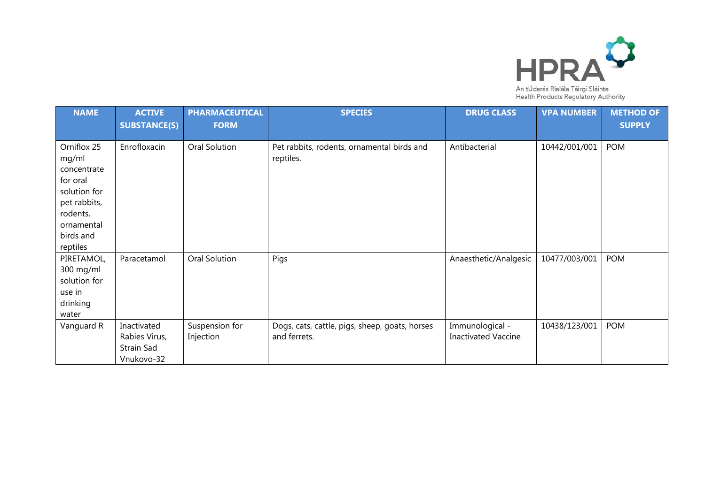

An tÚdarás Rialála Táirgí Sláinte<br>Health Products Regulatory Authority

| <b>NAME</b>                                                                                                                        | <b>ACTIVE</b><br><b>SUBSTANCE(S)</b>                     | <b>PHARMACEUTICAL</b><br><b>FORM</b> | <b>SPECIES</b>                                                 | <b>DRUG CLASS</b>                             | <b>VPA NUMBER</b> | <b>METHOD OF</b><br><b>SUPPLY</b> |
|------------------------------------------------------------------------------------------------------------------------------------|----------------------------------------------------------|--------------------------------------|----------------------------------------------------------------|-----------------------------------------------|-------------------|-----------------------------------|
| Orniflox 25<br>mg/ml<br>concentrate<br>for oral<br>solution for<br>pet rabbits,<br>rodents,<br>ornamental<br>birds and<br>reptiles | Enrofloxacin                                             | Oral Solution                        | Pet rabbits, rodents, ornamental birds and<br>reptiles.        | Antibacterial                                 | 10442/001/001     | <b>POM</b>                        |
| PIRETAMOL,<br>300 mg/ml<br>solution for<br>use in<br>drinking<br>water                                                             | Paracetamol                                              | Oral Solution                        | Pigs                                                           | Anaesthetic/Analgesic                         | 10477/003/001     | <b>POM</b>                        |
| Vanguard R                                                                                                                         | Inactivated<br>Rabies Virus,<br>Strain Sad<br>Vnukovo-32 | Suspension for<br>Injection          | Dogs, cats, cattle, pigs, sheep, goats, horses<br>and ferrets. | Immunological -<br><b>Inactivated Vaccine</b> | 10438/123/001     | <b>POM</b>                        |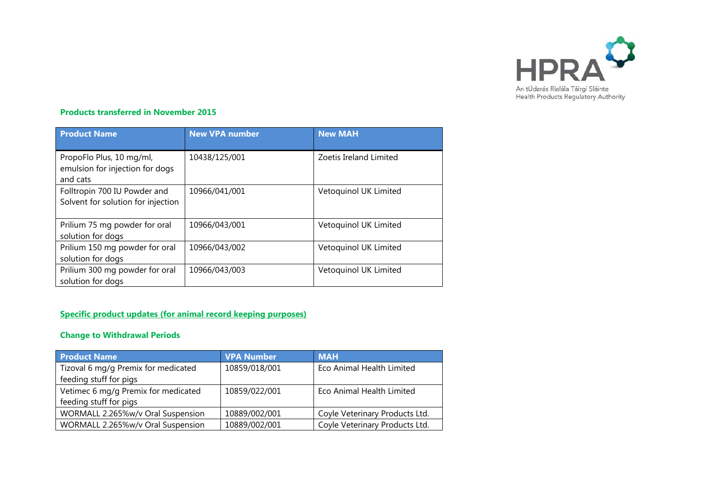

### **Products transferred in November 2015**

| <b>Product Name</b>                                                     | <b>New VPA number</b> | <b>New MAH</b>         |
|-------------------------------------------------------------------------|-----------------------|------------------------|
| PropoFlo Plus, 10 mg/ml,<br>emulsion for injection for dogs<br>and cats | 10438/125/001         | Zoetis Ireland Limited |
| Folltropin 700 IU Powder and<br>Solvent for solution for injection      | 10966/041/001         | Vetoquinol UK Limited  |
| Prilium 75 mg powder for oral<br>solution for dogs                      | 10966/043/001         | Vetoquinol UK Limited  |
| Prilium 150 mg powder for oral<br>solution for dogs                     | 10966/043/002         | Vetoquinol UK Limited  |
| Prilium 300 mg powder for oral<br>solution for dogs                     | 10966/043/003         | Vetoquinol UK Limited  |

# **Specific product updates (for animal record keeping purposes)**

## **Change to Withdrawal Periods**

| <b>Product Name</b>                 | <b>VPA Number</b> | <b>MAH</b>                     |
|-------------------------------------|-------------------|--------------------------------|
| Tizoval 6 mg/g Premix for medicated | 10859/018/001     | Eco Animal Health Limited      |
| feeding stuff for pigs              |                   |                                |
| Vetimec 6 mg/g Premix for medicated | 10859/022/001     | Eco Animal Health Limited      |
| feeding stuff for pigs              |                   |                                |
| WORMALL 2.265%w/v Oral Suspension   | 10889/002/001     | Coyle Veterinary Products Ltd. |
| WORMALL 2.265%w/v Oral Suspension   | 10889/002/001     | Coyle Veterinary Products Ltd. |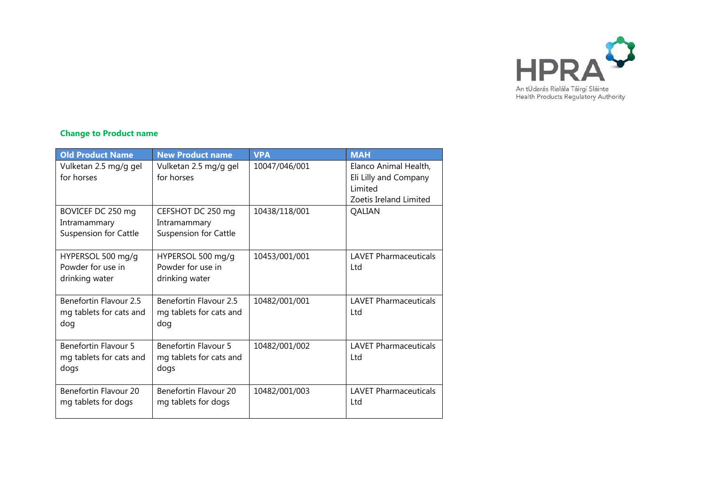

## **Change to Product name**

| <b>Old Product Name</b>                                           | <b>New Product name</b>                                           | <b>VPA</b>    | <b>MAH</b>                                                                          |
|-------------------------------------------------------------------|-------------------------------------------------------------------|---------------|-------------------------------------------------------------------------------------|
| Vulketan 2.5 mg/g gel<br>for horses                               | Vulketan 2.5 mg/g gel<br>for horses                               | 10047/046/001 | Elanco Animal Health,<br>Eli Lilly and Company<br>Limited<br>Zoetis Ireland Limited |
| BOVICEF DC 250 mg<br>Intramammary<br><b>Suspension for Cattle</b> | CEFSHOT DC 250 mg<br>Intramammary<br><b>Suspension for Cattle</b> | 10438/118/001 | QALIAN                                                                              |
| HYPERSOL 500 mg/g<br>Powder for use in<br>drinking water          | HYPERSOL 500 mg/g<br>Powder for use in<br>drinking water          | 10453/001/001 | <b>LAVET Pharmaceuticals</b><br>Ltd                                                 |
| Benefortin Flavour 2.5<br>mg tablets for cats and<br>dog          | Benefortin Flavour 2.5<br>mg tablets for cats and<br>dog          | 10482/001/001 | <b>LAVET Pharmaceuticals</b><br>Ltd                                                 |
| <b>Benefortin Flavour 5</b><br>mg tablets for cats and<br>dogs    | Benefortin Flavour 5<br>mg tablets for cats and<br>dogs           | 10482/001/002 | <b>LAVET Pharmaceuticals</b><br>Ltd                                                 |
| Benefortin Flavour 20<br>mg tablets for dogs                      | Benefortin Flavour 20<br>mg tablets for dogs                      | 10482/001/003 | <b>LAVET Pharmaceuticals</b><br>Ltd                                                 |